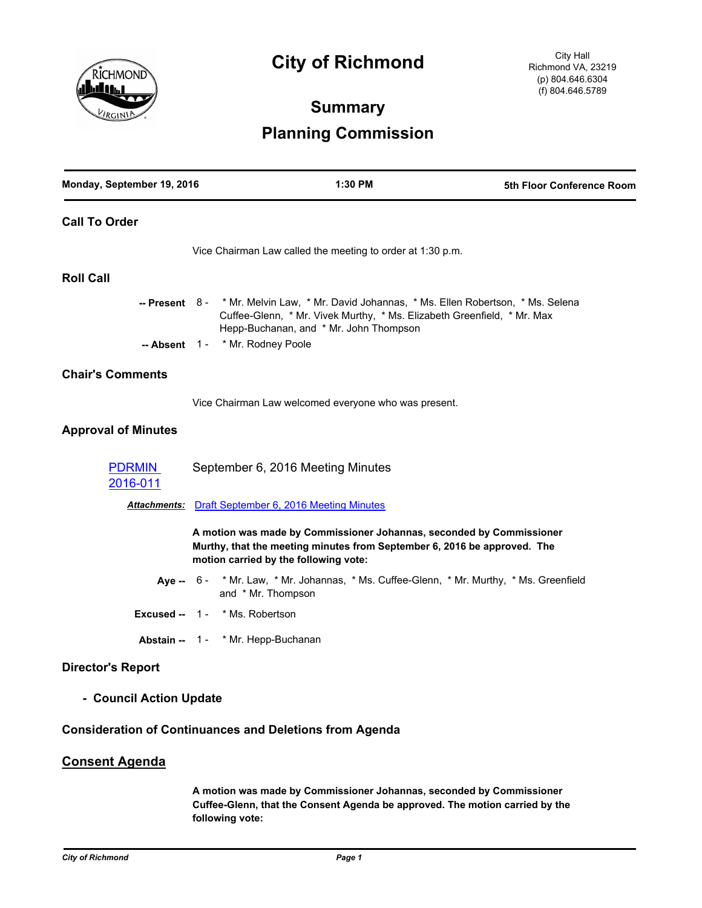

# **City of Richmond**

# **Summary Planning Commission**

| Monday, September 19, 2016 | 1:30 PM                                                                                                                                                                                                                                            | 5th Floor Conference Room |
|----------------------------|----------------------------------------------------------------------------------------------------------------------------------------------------------------------------------------------------------------------------------------------------|---------------------------|
| <b>Call To Order</b>       |                                                                                                                                                                                                                                                    |                           |
|                            | Vice Chairman Law called the meeting to order at 1:30 p.m.                                                                                                                                                                                         |                           |
| <b>Roll Call</b>           |                                                                                                                                                                                                                                                    |                           |
|                            | -- Present 8- * Mr. Melvin Law, * Mr. David Johannas, * Ms. Ellen Robertson, * Ms. Selena<br>Cuffee-Glenn, * Mr. Vivek Murthy, * Ms. Elizabeth Greenfield, * Mr. Max<br>Hepp-Buchanan, and * Mr. John Thompson<br>-- Absent 1 - * Mr. Rodney Poole |                           |
| <b>Chair's Comments</b>    |                                                                                                                                                                                                                                                    |                           |
|                            | Vice Chairman Law welcomed everyone who was present.                                                                                                                                                                                               |                           |
| <b>Approval of Minutes</b> |                                                                                                                                                                                                                                                    |                           |
| <b>PDRMIN</b><br>2016-011  | September 6, 2016 Meeting Minutes                                                                                                                                                                                                                  |                           |
|                            | <b>Attachments:</b> Draft September 6, 2016 Meeting Minutes                                                                                                                                                                                        |                           |
|                            | A motion was made by Commissioner Johannas, seconded by Commissioner<br>Murthy, that the meeting minutes from September 6, 2016 be approved. The<br>motion carried by the following vote:                                                          |                           |
|                            | Aye -- 6 - * Mr. Law, * Mr. Johannas, * Ms. Cuffee-Glenn, * Mr. Murthy, * Ms. Greenfield<br>and * Mr. Thompson                                                                                                                                     |                           |
|                            | Excused -- 1 - * Ms. Robertson                                                                                                                                                                                                                     |                           |
|                            | Abstain -- 1 - * Mr. Hepp-Buchanan                                                                                                                                                                                                                 |                           |
| <b>Director's Report</b>   |                                                                                                                                                                                                                                                    |                           |
| - Council Action Update    |                                                                                                                                                                                                                                                    |                           |
|                            | <b>Consideration of Continuances and Deletions from Agenda</b>                                                                                                                                                                                     |                           |

## **Consent Agenda**

**A motion was made by Commissioner Johannas, seconded by Commissioner Cuffee-Glenn, that the Consent Agenda be approved. The motion carried by the following vote:**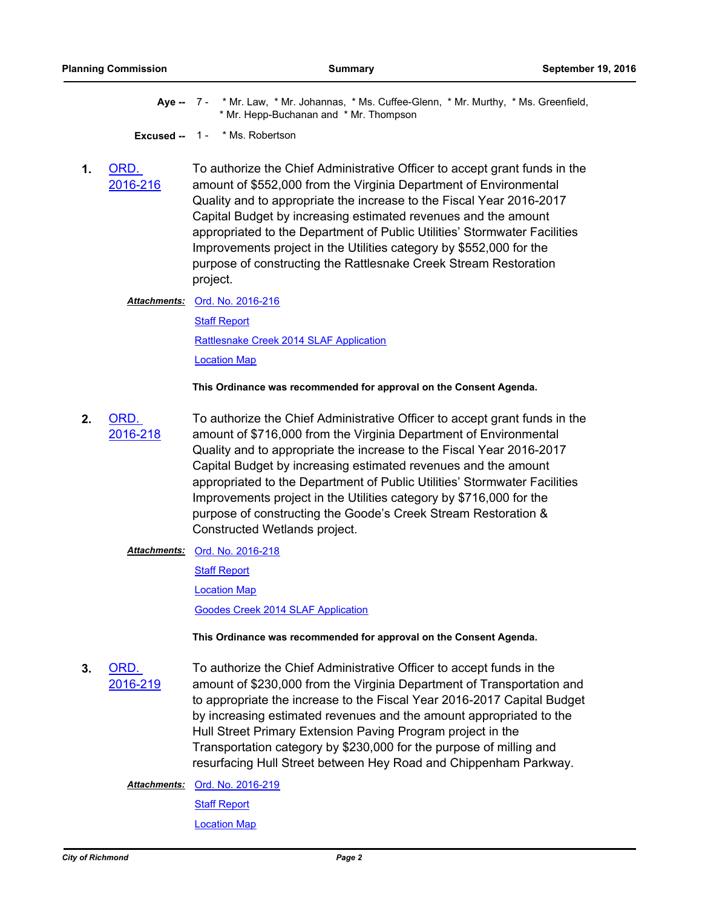Aye -- 7 - \* Mr. Law, \* Mr. Johannas, \* Ms. Cuffee-Glenn, \* Mr. Murthy, \* Ms. Greenfield, \* Mr. Hepp-Buchanan and \* Mr. Thompson

**Excused --** 1 - \* Ms. Robertson

**1.** ORD. [2016-216](http://richmondva.legistar.com/gateway.aspx?m=l&id=/matter.aspx?key=22965) To authorize the Chief Administrative Officer to accept grant funds in the amount of \$552,000 from the Virginia Department of Environmental Quality and to appropriate the increase to the Fiscal Year 2016-2017 Capital Budget by increasing estimated revenues and the amount appropriated to the Department of Public Utilities' Stormwater Facilities Improvements project in the Utilities category by \$552,000 for the purpose of constructing the Rattlesnake Creek Stream Restoration project.

Attachments: [Ord. No. 2016-216](http://richmondva.legistar.com/gateway.aspx?M=F&ID=d2b097af-0364-4f41-82f1-e7c77f4fd9ef.pdf)

[Staff Report](http://richmondva.legistar.com/gateway.aspx?M=F&ID=1279d26e-4679-4018-b47a-1169b59bc55c.doc) [Rattlesnake Creek 2014 SLAF Application](http://richmondva.legistar.com/gateway.aspx?M=F&ID=2de47ff7-8137-4b79-a34e-451b1fcabdf9.pdf) [Location Map](http://richmondva.legistar.com/gateway.aspx?M=F&ID=98d5d4ae-943f-4af5-8637-4592d2d66957.pdf)

**This Ordinance was recommended for approval on the Consent Agenda.**

**2.** ORD. [2016-218](http://richmondva.legistar.com/gateway.aspx?m=l&id=/matter.aspx?key=22968) To authorize the Chief Administrative Officer to accept grant funds in the amount of \$716,000 from the Virginia Department of Environmental Quality and to appropriate the increase to the Fiscal Year 2016-2017 Capital Budget by increasing estimated revenues and the amount appropriated to the Department of Public Utilities' Stormwater Facilities Improvements project in the Utilities category by \$716,000 for the purpose of constructing the Goode's Creek Stream Restoration & Constructed Wetlands project.

#### **Attachments: [Ord. No. 2016-218](http://richmondva.legistar.com/gateway.aspx?M=F&ID=1696fee7-0b79-4e08-8aa8-271a0a294767.pdf)**

[Staff Report](http://richmondva.legistar.com/gateway.aspx?M=F&ID=d11aa032-09e9-4845-8034-a010a7b77181.docx)

[Location Map](http://richmondva.legistar.com/gateway.aspx?M=F&ID=db7ae540-a66c-4632-8df0-cfe451e6bc81.pdf)

[Goodes Creek 2014 SLAF Application](http://richmondva.legistar.com/gateway.aspx?M=F&ID=9e2c6052-0891-42c0-82e3-7a6b6472a6fe.pdf)

**This Ordinance was recommended for approval on the Consent Agenda.**

**3.** ORD. [2016-219](http://richmondva.legistar.com/gateway.aspx?m=l&id=/matter.aspx?key=22971) To authorize the Chief Administrative Officer to accept funds in the amount of \$230,000 from the Virginia Department of Transportation and to appropriate the increase to the Fiscal Year 2016-2017 Capital Budget by increasing estimated revenues and the amount appropriated to the Hull Street Primary Extension Paving Program project in the Transportation category by \$230,000 for the purpose of milling and resurfacing Hull Street between Hey Road and Chippenham Parkway.

**Attachments: [Ord. No. 2016-219](http://richmondva.legistar.com/gateway.aspx?M=F&ID=8d90593e-1a03-4539-bc2a-2ae06eee279f.pdf)** 

[Staff Report](http://richmondva.legistar.com/gateway.aspx?M=F&ID=fa1c54a9-737a-47ab-a0b2-c79782f5448b.docx)

[Location Map](http://richmondva.legistar.com/gateway.aspx?M=F&ID=611d275e-e5a4-4f42-a894-a1320f653bbb.pdf)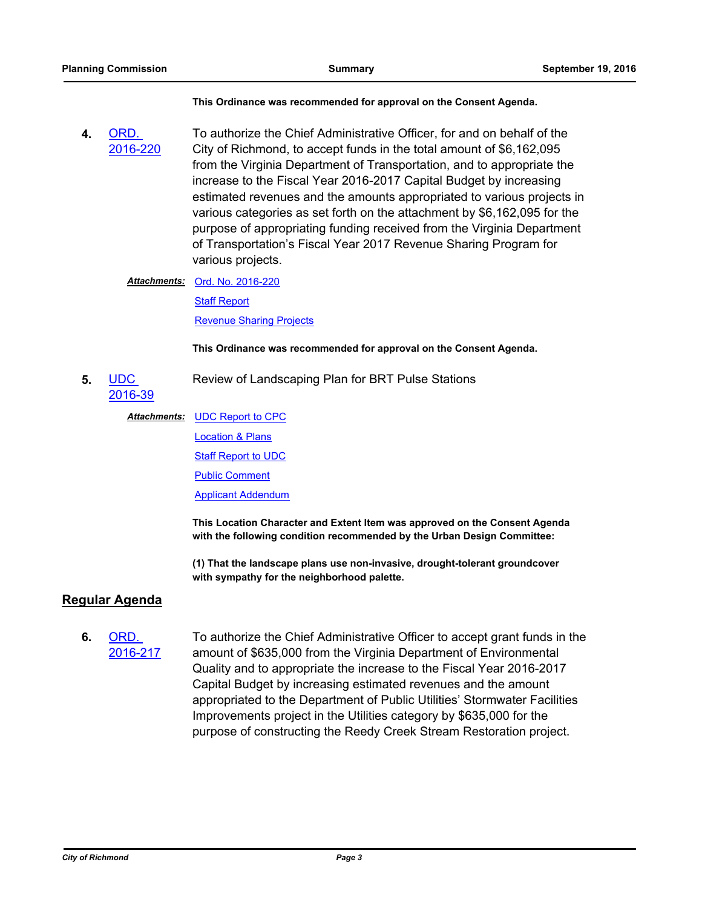#### **This Ordinance was recommended for approval on the Consent Agenda.**

**4.** ORD. [2016-220](http://richmondva.legistar.com/gateway.aspx?m=l&id=/matter.aspx?key=22973) To authorize the Chief Administrative Officer, for and on behalf of the City of Richmond, to accept funds in the total amount of \$6,162,095 from the Virginia Department of Transportation, and to appropriate the increase to the Fiscal Year 2016-2017 Capital Budget by increasing estimated revenues and the amounts appropriated to various projects in various categories as set forth on the attachment by \$6,162,095 for the purpose of appropriating funding received from the Virginia Department of Transportation's Fiscal Year 2017 Revenue Sharing Program for various projects.

#### Attachments: [Ord. No. 2016-220](http://richmondva.legistar.com/gateway.aspx?M=F&ID=fbe583a8-13b7-4563-bcae-c3397758cb6a.pdf)

[Staff Report](http://richmondva.legistar.com/gateway.aspx?M=F&ID=7be00575-bcb7-47cb-b279-3cda2392260a.docx)

[Revenue Sharing Projects](http://richmondva.legistar.com/gateway.aspx?M=F&ID=455d5bbc-1bb3-465b-a799-2c659591bfca.pdf)

#### **This Ordinance was recommended for approval on the Consent Agenda.**

**5.** UDC [2016-39](http://richmondva.legistar.com/gateway.aspx?m=l&id=/matter.aspx?key=22946) Review of Landscaping Plan for BRT Pulse Stations

#### Attachments: [UDC Report to CPC](http://richmondva.legistar.com/gateway.aspx?M=F&ID=f10518ee-0134-4dea-9e56-497ba1a2b5cb.pdf)

[Location & Plans](http://richmondva.legistar.com/gateway.aspx?M=F&ID=77d603ab-f796-4992-bdfb-ceabbd44c288.pdf)

[Staff Report to UDC](http://richmondva.legistar.com/gateway.aspx?M=F&ID=17020b1d-e4f3-4c39-acf9-9c42e6793ace.pdf)

[Public Comment](http://richmondva.legistar.com/gateway.aspx?M=F&ID=8cb98d0b-ade7-4af3-aea4-51fff6b6ea83.pdf)

[Applicant Addendum](http://richmondva.legistar.com/gateway.aspx?M=F&ID=047393ed-5ffe-4c1a-a952-dc367fbba749.pdf)

**This Location Character and Extent Item was approved on the Consent Agenda with the following condition recommended by the Urban Design Committee:**

**(1) That the landscape plans use non-invasive, drought-tolerant groundcover with sympathy for the neighborhood palette.**

### **Regular Agenda**

**6.** ORD. [2016-217](http://richmondva.legistar.com/gateway.aspx?m=l&id=/matter.aspx?key=22967) To authorize the Chief Administrative Officer to accept grant funds in the amount of \$635,000 from the Virginia Department of Environmental Quality and to appropriate the increase to the Fiscal Year 2016-2017 Capital Budget by increasing estimated revenues and the amount appropriated to the Department of Public Utilities' Stormwater Facilities Improvements project in the Utilities category by \$635,000 for the purpose of constructing the Reedy Creek Stream Restoration project.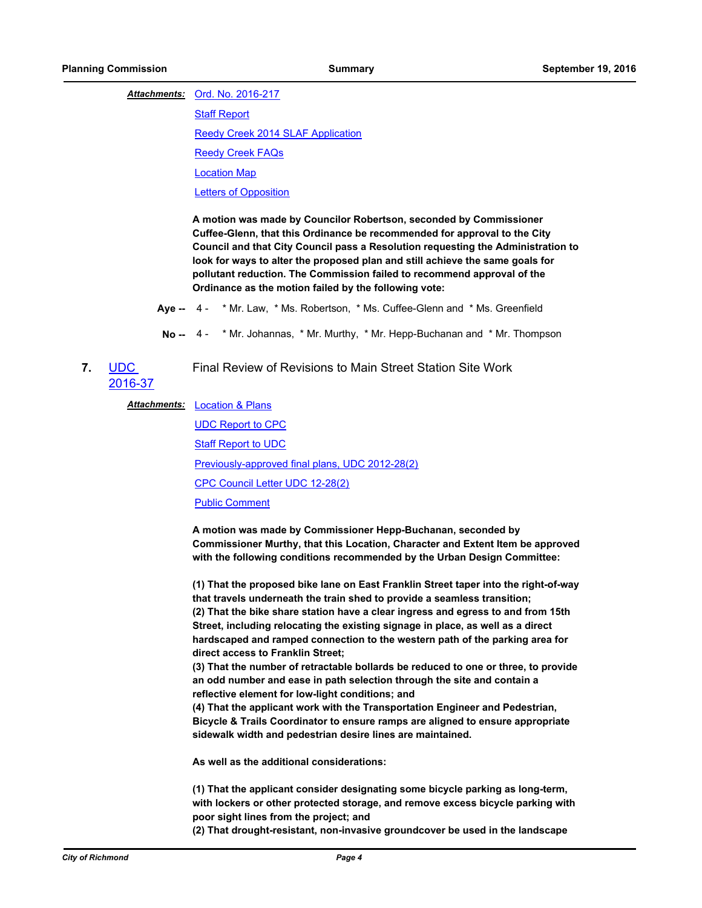Attachments: [Ord. No. 2016-217](http://richmondva.legistar.com/gateway.aspx?M=F&ID=86fd01d2-c620-43b1-a212-9696bb6e0be9.pdf)

[Staff Report](http://richmondva.legistar.com/gateway.aspx?M=F&ID=8ab7eefd-c971-4927-8d9c-6bd4fe558fab.doc)

[Reedy Creek 2014 SLAF Application](http://richmondva.legistar.com/gateway.aspx?M=F&ID=4655aff1-2af1-427c-b97e-b157312e518f.pdf)

[Reedy Creek FAQs](http://richmondva.legistar.com/gateway.aspx?M=F&ID=6e6cdf38-29b2-434f-9161-eda455346961.pdf)

[Location Map](http://richmondva.legistar.com/gateway.aspx?M=F&ID=73a072f4-77a3-4936-bb23-9ab92c0e51b3.pdf)

[Letters of Opposition](http://richmondva.legistar.com/gateway.aspx?M=F&ID=9d2b9402-b7b3-4186-a748-fe651ec4299b.pdf)

**A motion was made by Councilor Robertson, seconded by Commissioner Cuffee-Glenn, that this Ordinance be recommended for approval to the City Council and that City Council pass a Resolution requesting the Administration to look for ways to alter the proposed plan and still achieve the same goals for pollutant reduction. The Commission failed to recommend approval of the Ordinance as the motion failed by the following vote:**

- **Aye --** 4 \* Mr. Law, \* Ms. Robertson, \* Ms. Cuffee-Glenn and \* Ms. Greenfield
- **No --** 4 \* Mr. Johannas, \* Mr. Murthy, \* Mr. Hepp-Buchanan and \* Mr. Thompson
- **7.** UDC [2016-37](http://richmondva.legistar.com/gateway.aspx?m=l&id=/matter.aspx?key=22947) Final Review of Revisions to Main Street Station Site Work

#### **Attachments:** [Location & Plans](http://richmondva.legistar.com/gateway.aspx?M=F&ID=c615354c-ae75-4070-8fac-0e2cc4ab3d81.pdf)

[UDC Report to CPC](http://richmondva.legistar.com/gateway.aspx?M=F&ID=4e293edb-5813-41ae-a471-3ff33a1931fd.pdf) [Staff Report to UDC](http://richmondva.legistar.com/gateway.aspx?M=F&ID=e64ff97b-6b94-4012-8459-43523555ffbc.pdf) [Previously-approved final plans, UDC 2012-28\(2\)](http://richmondva.legistar.com/gateway.aspx?M=F&ID=7ae1fed9-877e-4576-be59-2a8e2e370e2a.pdf) [CPC Council Letter UDC 12-28\(2\)](http://richmondva.legistar.com/gateway.aspx?M=F&ID=99ae2897-dc4f-46e0-8ed8-917f88039002.pdf) [Public Comment](http://richmondva.legistar.com/gateway.aspx?M=F&ID=e94fe6fd-bcf9-41a9-a562-d4233828a1c7.pdf)

**A motion was made by Commissioner Hepp-Buchanan, seconded by Commissioner Murthy, that this Location, Character and Extent Item be approved with the following conditions recommended by the Urban Design Committee:**

**(1) That the proposed bike lane on East Franklin Street taper into the right-of-way that travels underneath the train shed to provide a seamless transition; (2) That the bike share station have a clear ingress and egress to and from 15th Street, including relocating the existing signage in place, as well as a direct hardscaped and ramped connection to the western path of the parking area for direct access to Franklin Street;** 

**(3) That the number of retractable bollards be reduced to one or three, to provide an odd number and ease in path selection through the site and contain a reflective element for low-light conditions; and**

**(4) That the applicant work with the Transportation Engineer and Pedestrian, Bicycle & Trails Coordinator to ensure ramps are aligned to ensure appropriate sidewalk width and pedestrian desire lines are maintained.** 

**As well as the additional considerations:** 

**(1) That the applicant consider designating some bicycle parking as long-term, with lockers or other protected storage, and remove excess bicycle parking with poor sight lines from the project; and** 

**(2) That drought-resistant, non-invasive groundcover be used in the landscape**